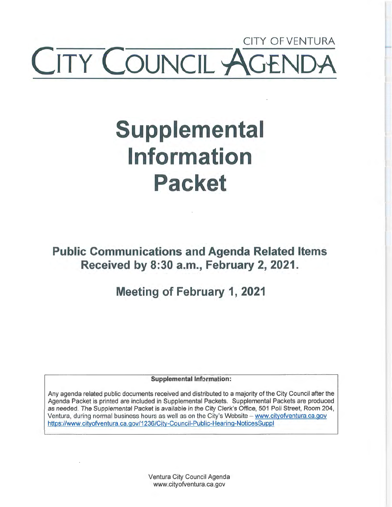## CITY OF VENTURA Y COUNCIL ~

# **Supplemental Information Packet**

**Public Communications and Agenda Related Items Received by 8:30 a.m., February 2, 2021.** 

**Meeting of February 1, 2021** 

**Supplemental Information:** 

Any agenda related public documents received and distributed to a majority of the City Council after the Agenda Packet is printed are included in Supplemental Packets. Supplemental Packets are produced as needed. The Supplemental Packet is available in the City Clerk's Office, 501 Poli Street, Room 204, Ventura, during normal business hours as well as on the City's Website - www.cityofventura.ca.gov https://www.cityofventura.ca.gov/1236/City-Council-Public-Hearing-NoticesSuppl

> Ventura City Council Agenda www.cityofventura.ca.gov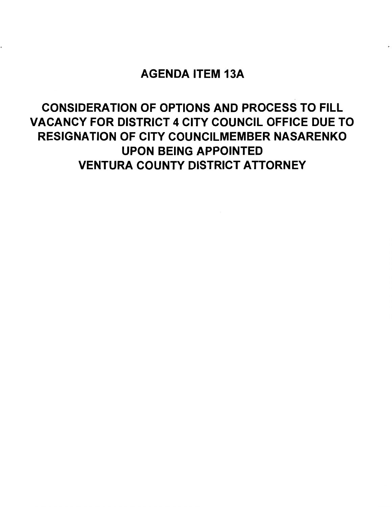### AGENDA ITEM 13A

## CONSIDERATION OF OPTIONS AND PROCESS TO FILL VACANCY FOR DISTRICT 4 CITY COUNCIL OFFICE DUE TO RESIGNATION OF CITY COUNCILMEMBER NASARENKO UPON BEING APPOINTED VENTURA COUNTY DISTRICT ATTORNEY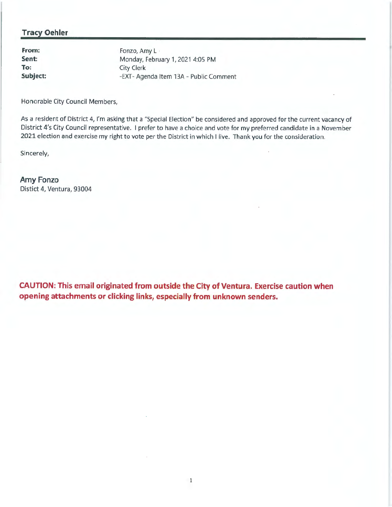#### **Tracy Oehler**

**From: Sent: To: Subject:** 

Fonzo, Amy L -Monday, February 1, 2021 4:05 PM City Clerk -EXT- Agenda Item 13A - Public Comment

Honorable City Council Members,

As a resident of District 4, I'm asking that a "Special Election" be considered and approved for the current vacancy of District 4's City Council representative. I prefer to have a choice and vote for my preferred candidate in a November 2021 election and exercise my right to vote per the District in which I live. Thank you for the consideration.

Sincerely,

**Amy Fonzo**  Distict 4, Ventura, 93004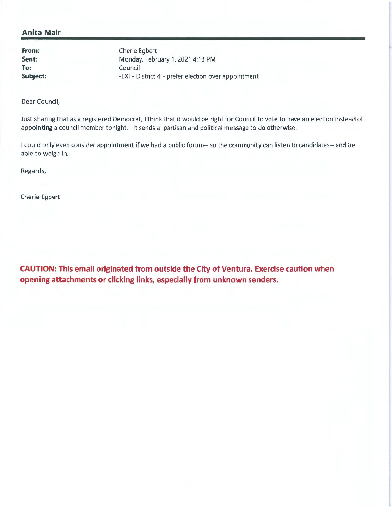#### **Anita Mair**

**From: Sent: To: Subject:** 

Cherie Egbert Monday, February 1, 2021 4:18 PM Council -EXT- District 4 - prefer election over appointment

Dear Council,

Just sharing that as a registered Democrat, I think that it would be right for Council to vote to have an election instead of appointing a council member tonight. It sends a partisan and political message to do otherwise.

I could only even consider appointment if we had a public forum-- so the community can listen to candidates-- and be able to weigh in.

Regards,

Cherie Egbert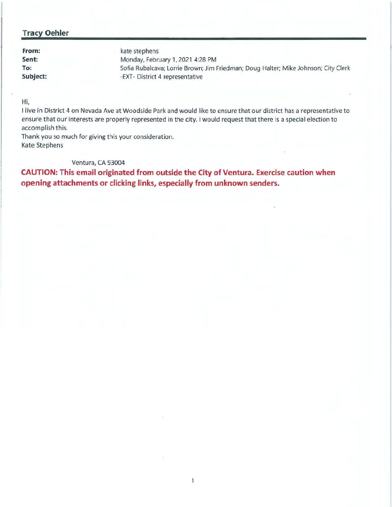#### **Tracy Oehler**

| From:    | kate stephens                                                                      |
|----------|------------------------------------------------------------------------------------|
| Sent:    | Monday, February 1, 2021 4:28 PM                                                   |
| To:      | Sofia Rubalcava; Lorrie Brown; Jim Friedman; Doug Halter; Mike Johnson; City Clerk |
| Subject: | -EXT- District 4 representative                                                    |

Hi,

I live in District 4 on Nevada Ave at Woodside Park and would like to ensure that our district has a representative to ensure that our interests are properly represented in the city. I would request that there is a special election to accomplish this.

Thank you so much for giving this your consideration. Kate Stephens

#### Ventura, CA 93004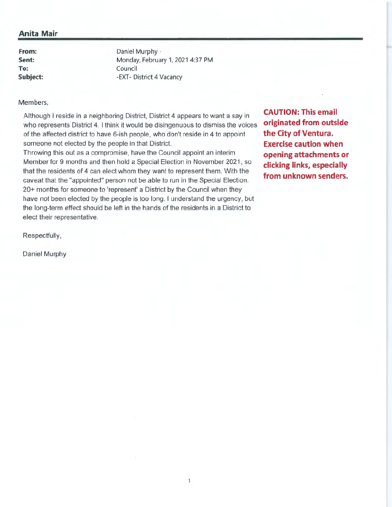#### **Anita Mair**

**From: Sent: To: Subject:**  Daniel Murphy · Monday, February 1, 2021 4:37 PM Council -EXT- District 4 Vacancy

#### Members,

Although I reside in a neighboring District, District 4 appears to want a say in who represents District **4.** I think it would be disingenuous to dismiss the voices of the affected district to have 6-ish people, who don't reside in **4** to appoint someone not elected by the people in that District.

Throwing this out as a compromise, have the Council appoint an interim Member for 9 months and then hold a Special Election in November 2021, so that the residents of 4 can elect whom they want to represent them. With the caveat that the "appointed" person not be able to run in the Special Election. 20+ months for someone to 'represent' a District by the Council when they have not been elected by the people is too long. I understand the urgency, but the long-term effect should be left in the hands of the residents in a District to elect their representative.

**CAUTION: This email originated from outside the City of Ventura. Exercise caution when opening attachments or clicking links, especially from unknown senders.** 

Respectfully,

Daniel Murphy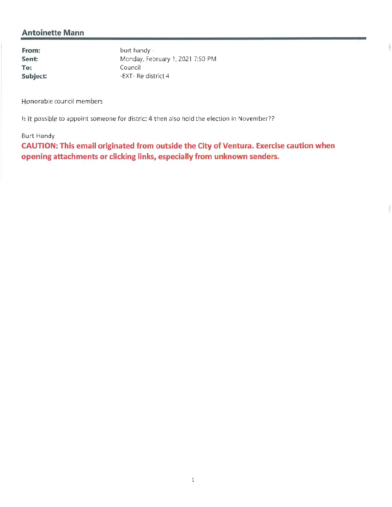#### **Antoinette Mann**

**From: Sent: To: Subject:** 

burt handy • Monday, February 1, 2021 7:50 PM Council -EXT- Re district 4

Honorable council members

Is it possible to appoint someone for district 4 then also hold the election in November??

#### Burt Handy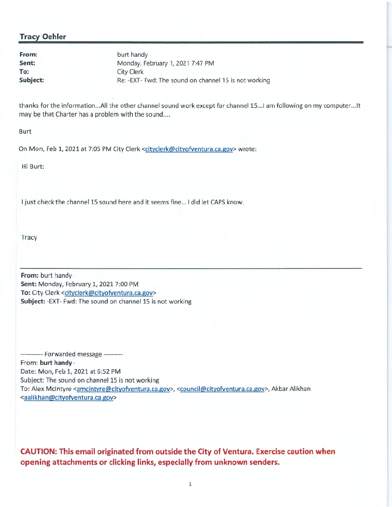#### **Tracy Oehler**

**Sent: To:** 

**From:** burt handy Monday, February 1, 2021 7:47 PM City Clerk **Subject:** Re: -EXT- Fwd: The sound on channel 15 is not working

thanks for the information...All the other channel sound work except for channel 15...I am following on my computer...It may be that Charter has a problem with the sound....

Burt

On Mon, Feb 1, 2021 at 7:05 PM City Clerk <cityclerk@cityofventura.ca.gov> wrote:

Hi Burt:

I just check the channel 15 sound here and it seems fine... I did let CAPS know.

Tracy

**From:** burt handy · **Sent:** Monday, February 1, 2021 7:00 PM To: City Clerk <cityclerk@cityofventura.ca.gov> **Subject:** -EXT- Fwd: The sound on channel 15 is not working

---------- Forwarded message --------- From: **hurt handy·**  Date: Mon, Feb 1, 2021 at 6:52 PM Subject: The sound on channel 15 is not working To: Alex McIntyre <amcintyre@cityofventura.ca.gov>, <council@cityofventura.ca.gov>, Akbar Alikhan <aalikhan@cityofventura.ca.gov>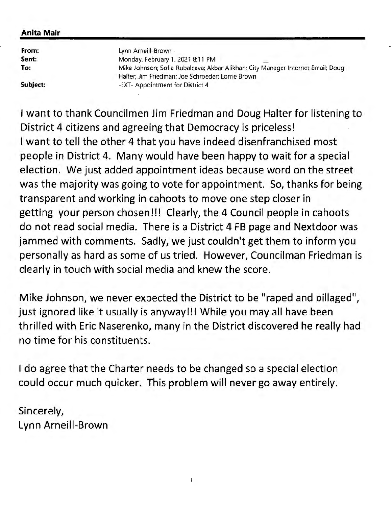#### **Anita Mair**

| From:    | Lynn Arneill-Brown -                                                                                                                 |
|----------|--------------------------------------------------------------------------------------------------------------------------------------|
| Sent:    | Monday, February 1, 2021 8:11 PM                                                                                                     |
| To:      | Mike Johnson; Sofia Rubalcava; Akbar Alikhan; City Manager Internet Email; Doug<br>Halter; Jim Friedman; Joe Schroeder; Lorrie Brown |
| Subject: | -EXT- Appointment for District 4                                                                                                     |

..

I want to thank Councilmen Jim Friedman and Doug Halter for listening to District 4 citizens and agreeing that Democracy is priceless! I want to tell the other 4 that you have indeed disenfranchised most people in District 4. Many would have been happy to wait for a special election. We just added appointment ideas because word on the street was the majority was going to vote for appointment. So, thanks for being transparent and working in cahoots to move one step closer in getting your person chosen!!! Clearly, the 4 Council people in cahoots do not read social media. There is a District 4 FB page and Nextdoor was jammed with comments. Sadly, we just couldn't get them to inform you personally as hard as some of us tried. However, Councilman Friedman is clearly in touch with social media and knew the score.

Mike Johnson, we never expected the District to be "raped and pillaged", just ignored like it usually is anyway!!! While you may all have been thrilled with Eric Naserenko, many in the District discovered he really had no time for his constituents.

I do agree that the Charter needs to be changed so a special election could occur much quicker. This problem will never go away entirely.

Sincerely, Lynn Arneill-Brown